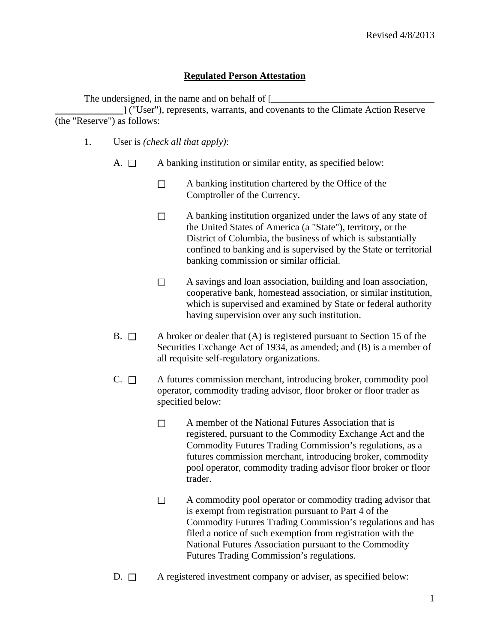## **Regulated Person Attestation**

The undersigned, in the name and on behalf of [

 ] ("User"), represents, warrants, and covenants to the Climate Action Reserve (the "Reserve") as follows:

- 1. User is *(check all that apply)*:
	- A.  $\Box$  A banking institution or similar entity, as specified below:
		- $\Box$  A banking institution chartered by the Office of the Comptroller of the Currency.
		- $\Box$  A banking institution organized under the laws of any state of the United States of America (a "State"), territory, or the District of Columbia, the business of which is substantially confined to banking and is supervised by the State or territorial banking commission or similar official.
		- $\Box$  A savings and loan association, building and loan association, cooperative bank, homestead association, or similar institution, which is supervised and examined by State or federal authority having supervision over any such institution.
	- B.  $\Box$  A broker or dealer that (A) is registered pursuant to Section 15 of the Securities Exchange Act of 1934, as amended; and (B) is a member of all requisite self-regulatory organizations.
	- $C. \Box$  A futures commission merchant, introducing broker, commodity pool operator, commodity trading advisor, floor broker or floor trader as specified below:
		- $\Box$  A member of the National Futures Association that is registered, pursuant to the Commodity Exchange Act and the Commodity Futures Trading Commission's regulations, as a futures commission merchant, introducing broker, commodity pool operator, commodity trading advisor floor broker or floor trader.
		- $\Box$  A commodity pool operator or commodity trading advisor that is exempt from registration pursuant to Part 4 of the Commodity Futures Trading Commission's regulations and has filed a notice of such exemption from registration with the National Futures Association pursuant to the Commodity Futures Trading Commission's regulations.
	- $D. \Box$  A registered investment company or adviser, as specified below: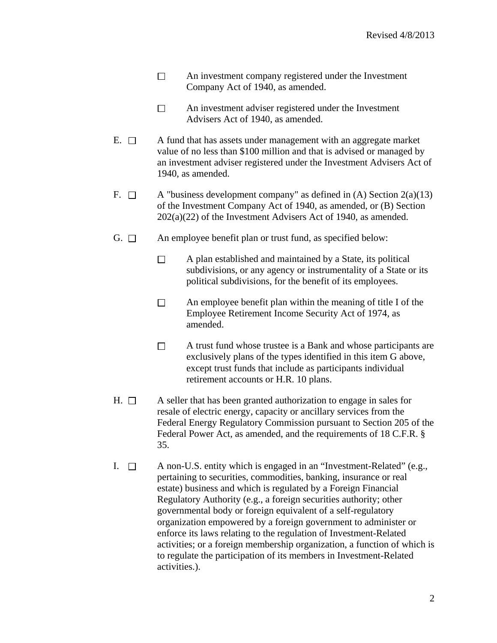- $\Box$  An investment company registered under the Investment Company Act of 1940, as amended.
- $\Box$  An investment adviser registered under the Investment Advisers Act of 1940, as amended.
- $E. \Box$  A fund that has assets under management with an aggregate market value of no less than \$100 million and that is advised or managed by an investment adviser registered under the Investment Advisers Act of 1940, as amended.
- F.  $\Box$  A "business development company" as defined in (A) Section 2(a)(13) of the Investment Company Act of 1940, as amended, or (B) Section 202(a)(22) of the Investment Advisers Act of 1940, as amended.
- G.  $\Box$  An employee benefit plan or trust fund, as specified below:
	- $\Box$  A plan established and maintained by a State, its political subdivisions, or any agency or instrumentality of a State or its political subdivisions, for the benefit of its employees.
	- $\Box$  An employee benefit plan within the meaning of title I of the Employee Retirement Income Security Act of 1974, as amended.
	- A trust fund whose trustee is a Bank and whose participants are  $\Box$ exclusively plans of the types identified in this item G above, except trust funds that include as participants individual retirement accounts or H.R. 10 plans.
- $H. \Box$  A seller that has been granted authorization to engage in sales for resale of electric energy, capacity or ancillary services from the Federal Energy Regulatory Commission pursuant to Section 205 of the Federal Power Act, as amended, and the requirements of 18 C.F.R. § 35.
- I.  $\Box$  A non-U.S. entity which is engaged in an "Investment-Related" (e.g., pertaining to securities, commodities, banking, insurance or real estate) business and which is regulated by a Foreign Financial Regulatory Authority (e.g., a foreign securities authority; other governmental body or foreign equivalent of a self-regulatory organization empowered by a foreign government to administer or enforce its laws relating to the regulation of Investment-Related activities; or a foreign membership organization, a function of which is to regulate the participation of its members in Investment-Related activities.).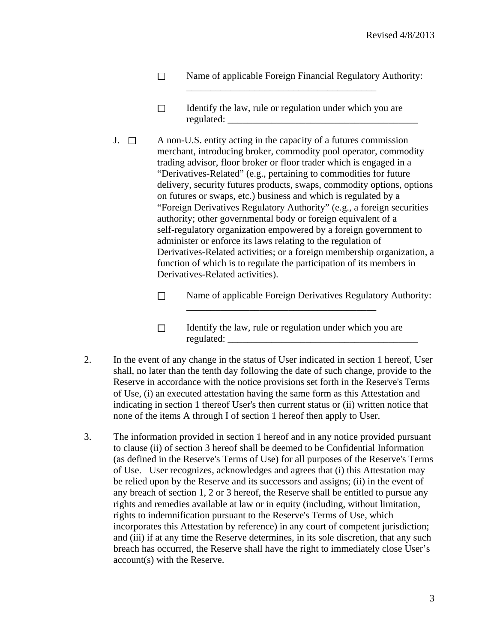- $\Box$ Name of applicable Foreign Financial Regulatory Authority:
- Identify the law, rule or regulation under which you are  $\Box$ regulated:

\_\_\_\_\_\_\_\_\_\_\_\_\_\_\_\_\_\_\_\_\_\_\_\_\_\_\_\_\_\_\_\_\_\_\_\_\_\_\_

- J.  $\Box$  A non-U.S. entity acting in the capacity of a futures commission merchant, introducing broker, commodity pool operator, commodity trading advisor, floor broker or floor trader which is engaged in a "Derivatives-Related" (e.g., pertaining to commodities for future delivery, security futures products, swaps, commodity options, options on futures or swaps, etc.) business and which is regulated by a "Foreign Derivatives Regulatory Authority" (e.g., a foreign securities authority; other governmental body or foreign equivalent of a self-regulatory organization empowered by a foreign government to administer or enforce its laws relating to the regulation of Derivatives-Related activities; or a foreign membership organization, a function of which is to regulate the participation of its members in Derivatives-Related activities).
	- $\Box$  Name of applicable Foreign Derivatives Regulatory Authority:
	- $\Box$  Identify the law, rule or regulation under which you are regulated:

\_\_\_\_\_\_\_\_\_\_\_\_\_\_\_\_\_\_\_\_\_\_\_\_\_\_\_\_\_\_\_\_\_\_\_\_\_\_\_

- 2. In the event of any change in the status of User indicated in section 1 hereof, User shall, no later than the tenth day following the date of such change, provide to the Reserve in accordance with the notice provisions set forth in the Reserve's Terms of Use, (i) an executed attestation having the same form as this Attestation and indicating in section 1 thereof User's then current status or (ii) written notice that none of the items A through I of section 1 hereof then apply to User.
- 3. The information provided in section 1 hereof and in any notice provided pursuant to clause (ii) of section 3 hereof shall be deemed to be Confidential Information (as defined in the Reserve's Terms of Use) for all purposes of the Reserve's Terms of Use. User recognizes, acknowledges and agrees that (i) this Attestation may be relied upon by the Reserve and its successors and assigns; (ii) in the event of any breach of section 1, 2 or 3 hereof, the Reserve shall be entitled to pursue any rights and remedies available at law or in equity (including, without limitation, rights to indemnification pursuant to the Reserve's Terms of Use, which incorporates this Attestation by reference) in any court of competent jurisdiction; and (iii) if at any time the Reserve determines, in its sole discretion, that any such breach has occurred, the Reserve shall have the right to immediately close User's account(s) with the Reserve.